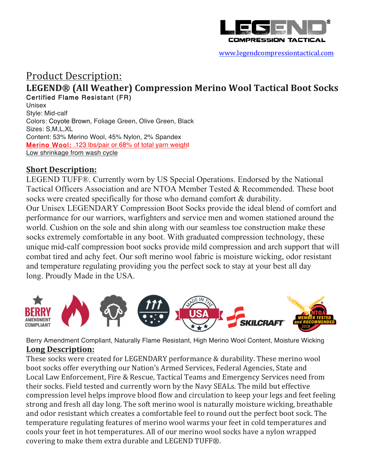

www.legendcompressiontactical.com

# Product Description: **LEGEND® (All Weather) Compression Merino Wool Tactical Boot Socks** Certified Flame Resistant (FR) Unisex

Style: Mid-calf Colors: Coyote Brown, Foliage Green, Olive Green, Black Sizes: S,M,L,XL Content: 53% Merino Wool, 45% Nylon, 2% Spandex Merino Wool: .123 lbs/pair or 68% of total yarn weight Low shrinkage from wash cycle

### **Short Description:**

LEGEND TUFF®. Currently worn by US Special Operations. Endorsed by the National Tactical Officers Association and are NTOA Member Tested & Recommended. These boot socks were created specifically for those who demand comfort & durability. Our Unisex LEGENDARY Compression Boot Socks provide the ideal blend of comfort and performance for our warriors, warfighters and service men and women stationed around the world. Cushion on the sole and shin along with our seamless toe construction make these socks extremely comfortable in any boot. With graduated compression technology, these unique mid-calf compression boot socks provide mild compression and arch support that will combat tired and achy feet. Our soft merino wool fabric is moisture wicking, odor resistant and temperature regulating providing you the perfect sock to stay at your best all day long. Proudly Made in the USA.



Berry Amendment Compliant, Naturally Flame Resistant, High Merino Wool Content, Moisture Wicking **Long Description:**

These socks were created for LEGENDARY performance & durability. These merino wool boot socks offer everything our Nation's Armed Services, Federal Agencies, State and Local Law Enforcement, Fire & Rescue, Tactical Teams and Emergency Services need from their socks. Field tested and currently worn by the Navy SEALs. The mild but effective compression level helps improve blood flow and circulation to keep your legs and feet feeling strong and fresh all day long. The soft merino wool is naturally moisture wicking, breathable and odor resistant which creates a comfortable feel to round out the perfect boot sock. The temperature regulating features of merino wool warms your feet in cold temperatures and cools your feet in hot temperatures. All of our merino wool socks have a nylon wrapped covering to make them extra durable and LEGEND TUFF®.